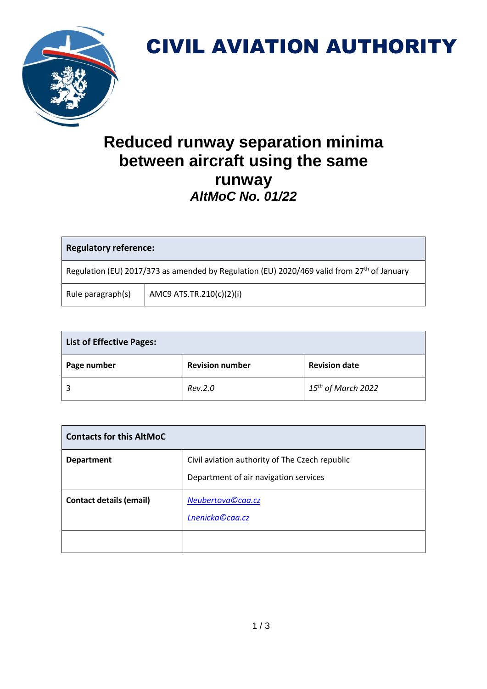

## CIVIL AVIATION AUTHORITY

## **Reduced runway separation minima between aircraft using the same runway** *AltMoC No. 01/22*

| <b>Regulatory reference:</b>                                                                           |                          |  |
|--------------------------------------------------------------------------------------------------------|--------------------------|--|
| Regulation (EU) 2017/373 as amended by Regulation (EU) 2020/469 valid from 27 <sup>th</sup> of January |                          |  |
| Rule paragraph(s)                                                                                      | AMC9 ATS.TR.210(c)(2)(i) |  |

| <b>List of Effective Pages:</b> |                        |                         |  |
|---------------------------------|------------------------|-------------------------|--|
| Page number                     | <b>Revision number</b> | <b>Revision date</b>    |  |
|                                 | Rev.2.0                | $15^{th}$ of March 2022 |  |

| <b>Contacts for this AltMoC</b> |                                                                                         |  |
|---------------------------------|-----------------------------------------------------------------------------------------|--|
| <b>Department</b>               | Civil aviation authority of The Czech republic<br>Department of air navigation services |  |
| <b>Contact details (email)</b>  | Neubertova©caa.cz<br>Lnenicka©caa.cz                                                    |  |
|                                 |                                                                                         |  |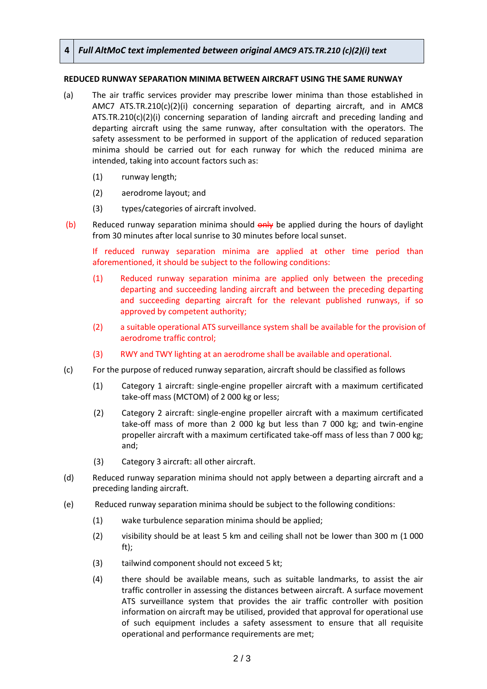## **4** *Full AltMoC text implemented between original AMC9 ATS.TR.210 (c)(2)(i) text*

## **REDUCED RUNWAY SEPARATION MINIMA BETWEEN AIRCRAFT USING THE SAME RUNWAY**

- (a) The air traffic services provider may prescribe lower minima than those established in AMC7 ATS.TR.210(c)(2)(i) concerning separation of departing aircraft, and in AMC8 ATS.TR.210(c)(2)(i) concerning separation of landing aircraft and preceding landing and departing aircraft using the same runway, after consultation with the operators. The safety assessment to be performed in support of the application of reduced separation minima should be carried out for each runway for which the reduced minima are intended, taking into account factors such as:
	- (1) runway length;
	- (2) aerodrome layout; and
	- (3) types/categories of aircraft involved.
- (b) Reduced runway separation minima should  $\theta$ <sup>-</sup> Report burned the hours of daylight from 30 minutes after local sunrise to 30 minutes before local sunset.

If reduced runway separation minima are applied at other time period than aforementioned, it should be subject to the following conditions:

- (1) Reduced runway separation minima are applied only between the preceding departing and succeeding landing aircraft and between the preceding departing and succeeding departing aircraft for the relevant published runways, if so approved by competent authority;
- (2) a suitable operational ATS surveillance system shall be available for the provision of aerodrome traffic control;
- (3) RWY and TWY lighting at an aerodrome shall be available and operational.
- (c) For the purpose of reduced runway separation, aircraft should be classified as follows
	- (1) Category 1 aircraft: single-engine propeller aircraft with a maximum certificated take-off mass (MCTOM) of 2 000 kg or less;
	- (2) Category 2 aircraft: single-engine propeller aircraft with a maximum certificated take-off mass of more than 2 000 kg but less than 7 000 kg; and twin-engine propeller aircraft with a maximum certificated take-off mass of less than 7 000 kg; and;
	- (3) Category 3 aircraft: all other aircraft.
- (d) Reduced runway separation minima should not apply between a departing aircraft and a preceding landing aircraft.
- (e) Reduced runway separation minima should be subject to the following conditions:
	- (1) wake turbulence separation minima should be applied;
	- (2) visibility should be at least 5 km and ceiling shall not be lower than 300 m (1 000 ft);
	- (3) tailwind component should not exceed 5 kt;
	- (4) there should be available means, such as suitable landmarks, to assist the air traffic controller in assessing the distances between aircraft. A surface movement ATS surveillance system that provides the air traffic controller with position information on aircraft may be utilised, provided that approval for operational use of such equipment includes a safety assessment to ensure that all requisite operational and performance requirements are met;